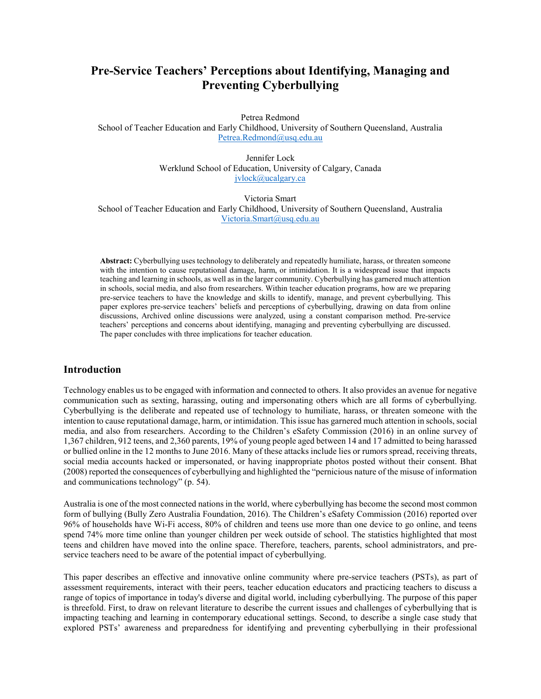# **Pre-Service Teachers' Perceptions about Identifying, Managing and Preventing Cyberbullying**

Petrea Redmond

School of Teacher Education and Early Childhood, University of Southern Queensland, Australia [Petrea.Redmond@usq.edu.au](mailto:Petrea.Redmond@usq.edu.au)

> Jennifer Lock Werklund School of Education, University of Calgary, Canada [jvlock@ucalgary.ca](mailto:jvlock@ucalgary.ca)

Victoria Smart School of Teacher Education and Early Childhood, University of Southern Queensland, Australia [Victoria.Smart@usq.edu.au](mailto:Victoria.Smart@usq.edu.au)

**Abstract:** Cyberbullying uses technology to deliberately and repeatedly humiliate, harass, or threaten someone with the intention to cause reputational damage, harm, or intimidation. It is a widespread issue that impacts teaching and learning in schools, as well as in the larger community. Cyberbullying has garnered much attention in schools, social media, and also from researchers. Within teacher education programs, how are we preparing pre-service teachers to have the knowledge and skills to identify, manage, and prevent cyberbullying. This paper explores pre-service teachers' beliefs and perceptions of cyberbullying, drawing on data from online discussions, Archived online discussions were analyzed, using a constant comparison method. Pre-service teachers' perceptions and concerns about identifying, managing and preventing cyberbullying are discussed. The paper concludes with three implications for teacher education.

## **Introduction**

Technology enables us to be engaged with information and connected to others. It also provides an avenue for negative communication such as sexting, harassing, outing and impersonating others which are all forms of cyberbullying. Cyberbullying is the deliberate and repeated use of technology to humiliate, harass, or threaten someone with the intention to cause reputational damage, harm, or intimidation. This issue has garnered much attention in schools, social media, and also from researchers. According to the Children's eSafety Commission (2016) in an online survey of 1,367 children, 912 teens, and 2,360 parents, 19% of young people aged between 14 and 17 admitted to being harassed or bullied online in the 12 months to June 2016. Many of these attacks include lies or rumors spread, receiving threats, social media accounts hacked or impersonated, or having inappropriate photos posted without their consent. Bhat (2008) reported the consequences of cyberbullying and highlighted the "pernicious nature of the misuse of information and communications technology" (p. 54).

Australia is one of the most connected nations in the world, where cyberbullying has become the second most common form of bullying (Bully Zero Australia Foundation, 2016). The Children's eSafety Commission (2016) reported over 96% of households have Wi-Fi access, 80% of children and teens use more than one device to go online, and teens spend 74% more time online than younger children per week outside of school. The statistics highlighted that most teens and children have moved into the online space. Therefore, teachers, parents, school administrators, and preservice teachers need to be aware of the potential impact of cyberbullying.

This paper describes an effective and innovative online community where pre-service teachers (PSTs), as part of assessment requirements, interact with their peers, teacher education educators and practicing teachers to discuss a range of topics of importance in today's diverse and digital world, including cyberbullying. The purpose of this paper is threefold. First, to draw on relevant literature to describe the current issues and challenges of cyberbullying that is impacting teaching and learning in contemporary educational settings. Second, to describe a single case study that explored PSTs' awareness and preparedness for identifying and preventing cyberbullying in their professional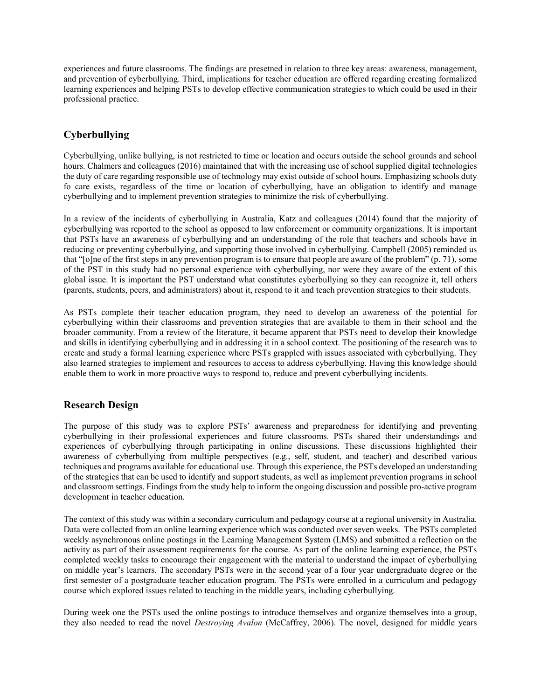experiences and future classrooms. The findings are presetned in relation to three key areas: awareness, management, and prevention of cyberbullying. Third, implications for teacher education are offered regarding creating formalized learning experiences and helping PSTs to develop effective communication strategies to which could be used in their professional practice.

## **Cyberbullying**

Cyberbullying, unlike bullying, is not restricted to time or location and occurs outside the school grounds and school hours. Chalmers and colleagues (2016) maintained that with the increasing use of school supplied digital technologies the duty of care regarding responsible use of technology may exist outside of school hours. Emphasizing schools duty fo care exists, regardless of the time or location of cyberbullying, have an obligation to identify and manage cyberbullying and to implement prevention strategies to minimize the risk of cyberbullying.

In a review of the incidents of cyberbullying in Australia, Katz and colleagues (2014) found that the majority of cyberbullying was reported to the school as opposed to law enforcement or community organizations. It is important that PSTs have an awareness of cyberbullying and an understanding of the role that teachers and schools have in reducing or preventing cyberbullying, and supporting those involved in cyberbullying. Campbell (2005) reminded us that "[o]ne of the first steps in any prevention program is to ensure that people are aware of the problem" (p. 71), some of the PST in this study had no personal experience with cyberbullying, nor were they aware of the extent of this global issue. It is important the PST understand what constitutes cyberbullying so they can recognize it, tell others (parents, students, peers, and administrators) about it, respond to it and teach prevention strategies to their students.

As PSTs complete their teacher education program, they need to develop an awareness of the potential for cyberbullying within their classrooms and prevention strategies that are available to them in their school and the broader community. From a review of the literature, it became apparent that PSTs need to develop their knowledge and skills in identifying cyberbullying and in addressing it in a school context. The positioning of the research was to create and study a formal learning experience where PSTs grappled with issues associated with cyberbullying. They also learned strategies to implement and resources to access to address cyberbullying. Having this knowledge should enable them to work in more proactive ways to respond to, reduce and prevent cyberbullying incidents.

## **Research Design**

The purpose of this study was to explore PSTs' awareness and preparedness for identifying and preventing cyberbullying in their professional experiences and future classrooms. PSTs shared their understandings and experiences of cyberbullying through participating in online discussions. These discussions highlighted their awareness of cyberbullying from multiple perspectives (e.g., self, student, and teacher) and described various techniques and programs available for educational use. Through this experience, the PSTs developed an understanding of the strategies that can be used to identify and support students, as well as implement prevention programs in school and classroom settings. Findings from the study help to inform the ongoing discussion and possible pro-active program development in teacher education.

The context of this study was within a secondary curriculum and pedagogy course at a regional university in Australia. Data were collected from an online learning experience which was conducted over seven weeks. The PSTs completed weekly asynchronous online postings in the Learning Management System (LMS) and submitted a reflection on the activity as part of their assessment requirements for the course. As part of the online learning experience, the PSTs completed weekly tasks to encourage their engagement with the material to understand the impact of cyberbullying on middle year's learners. The secondary PSTs were in the second year of a four year undergraduate degree or the first semester of a postgraduate teacher education program. The PSTs were enrolled in a curriculum and pedagogy course which explored issues related to teaching in the middle years, including cyberbullying.

During week one the PSTs used the online postings to introduce themselves and organize themselves into a group, they also needed to read the novel *Destroying Avalon* (McCaffrey, 2006). The novel, designed for middle years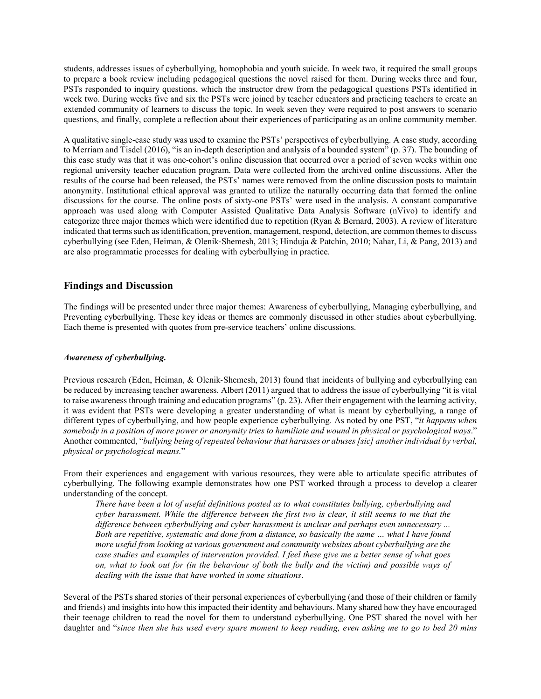students, addresses issues of cyberbullying, homophobia and youth suicide. In week two, it required the small groups to prepare a book review including pedagogical questions the novel raised for them. During weeks three and four, PSTs responded to inquiry questions, which the instructor drew from the pedagogical questions PSTs identified in week two. During weeks five and six the PSTs were joined by teacher educators and practicing teachers to create an extended community of learners to discuss the topic. In week seven they were required to post answers to scenario questions, and finally, complete a reflection about their experiences of participating as an online community member.

A qualitative single-case study was used to examine the PSTs' perspectives of cyberbullying. A case study, according to Merriam and Tisdel (2016), "is an in-depth description and analysis of a bounded system" (p. 37). The bounding of this case study was that it was one-cohort's online discussion that occurred over a period of seven weeks within one regional university teacher education program. Data were collected from the archived online discussions. After the results of the course had been released, the PSTs' names were removed from the online discussion posts to maintain anonymity. Institutional ethical approval was granted to utilize the naturally occurring data that formed the online discussions for the course. The online posts of sixty-one PSTs' were used in the analysis. A constant comparative approach was used along with Computer Assisted Qualitative Data Analysis Software (nVivo) to identify and categorize three major themes which were identified due to repetition (Ryan & Bernard, 2003). A review of literature indicated that terms such as identification, prevention, management, respond, detection, are common themes to discuss cyberbullying (see Eden, Heiman, & Olenik‐Shemesh, 2013; Hinduja & Patchin, 2010; Nahar, Li, & Pang, 2013) and are also programmatic processes for dealing with cyberbullying in practice.

### **Findings and Discussion**

The findings will be presented under three major themes: Awareness of cyberbullying, Managing cyberbullying, and Preventing cyberbullying. These key ideas or themes are commonly discussed in other studies about cyberbullying. Each theme is presented with quotes from pre-service teachers' online discussions.

#### *Awareness of cyberbullying.*

Previous research (Eden, Heiman, & Olenik‐Shemesh, 2013) found that incidents of bullying and cyberbullying can be reduced by increasing teacher awareness. Albert (2011) argued that to address the issue of cyberbullying "it is vital to raise awareness through training and education programs" (p. 23). After their engagement with the learning activity, it was evident that PSTs were developing a greater understanding of what is meant by cyberbullying, a range of different types of cyberbullying, and how people experience cyberbullying. As noted by one PST, "*it happens when somebody in a position of more power or anonymity tries to humiliate and wound in physical or psychological ways*." Another commented, "*bullying being of repeated behaviour that harasses or abuses [sic] another individual by verbal, physical or psychological means.*"

From their experiences and engagement with various resources, they were able to articulate specific attributes of cyberbullying. The following example demonstrates how one PST worked through a process to develop a clearer understanding of the concept.

*There have been a lot of useful definitions posted as to what constitutes bullying, cyberbullying and cyber harassment. While the difference between the first two is clear, it still seems to me that the difference between cyberbullying and cyber harassment is unclear and perhaps even unnecessary ... Both are repetitive, systematic and done from a distance, so basically the same … what I have found more useful from looking at various government and community websites about cyberbullying are the case studies and examples of intervention provided. I feel these give me a better sense of what goes on, what to look out for (in the behaviour of both the bully and the victim) and possible ways of dealing with the issue that have worked in some situations*.

Several of the PSTs shared stories of their personal experiences of cyberbullying (and those of their children or family and friends) and insights into how this impacted their identity and behaviours. Many shared how they have encouraged their teenage children to read the novel for them to understand cyberbullying. One PST shared the novel with her daughter and "*since then she has used every spare moment to keep reading, even asking me to go to bed 20 mins*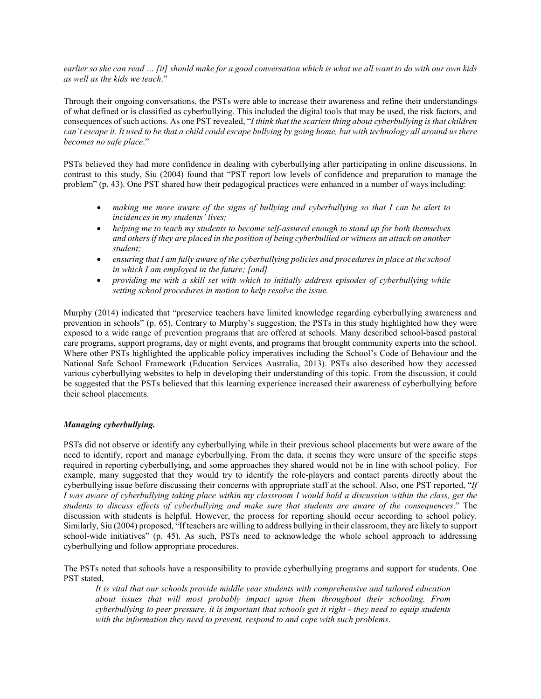*earlier so she can read … [it] should make for a good conversation which is what we all want to do with our own kids as well as the kids we teach*."

Through their ongoing conversations, the PSTs were able to increase their awareness and refine their understandings of what defined or is classified as cyberbullying. This included the digital tools that may be used, the risk factors, and consequences of such actions. As one PST revealed, "*I think that the scariest thing about cyberbullying is that children can't escape it. It used to be that a child could escape bullying by going home, but with technology all around us there becomes no safe place*."

PSTs believed they had more confidence in dealing with cyberbullying after participating in online discussions. In contrast to this study, Siu (2004) found that "PST report low levels of confidence and preparation to manage the problem" (p. 43). One PST shared how their pedagogical practices were enhanced in a number of ways including:

- *making me more aware of the signs of bullying and cyberbullying so that I can be alert to incidences in my students' lives;*
- *helping me to teach my students to become self-assured enough to stand up for both themselves and others if they are placed in the position of being cyberbullied or witness an attack on another student;*
- *ensuring that I am fully aware of the cyberbullying policies and procedures in place at the school in which I am employed in the future; [and]*
- *providing me with a skill set with which to initially address episodes of cyberbullying while setting school procedures in motion to help resolve the issue.*

Murphy (2014) indicated that "preservice teachers have limited knowledge regarding cyberbullying awareness and prevention in schools" (p. 65). Contrary to Murphy's suggestion, the PSTs in this study highlighted how they were exposed to a wide range of prevention programs that are offered at schools. Many described school-based pastoral care programs, support programs, day or night events, and programs that brought community experts into the school. Where other PSTs highlighted the applicable policy imperatives including the School's Code of Behaviour and the National Safe School Framework (Education Services Australia, 2013). PSTs also described how they accessed various cyberbullying websites to help in developing their understanding of this topic. From the discussion, it could be suggested that the PSTs believed that this learning experience increased their awareness of cyberbullying before their school placements.

#### *Managing cyberbullying.*

PSTs did not observe or identify any cyberbullying while in their previous school placements but were aware of the need to identify, report and manage cyberbullying. From the data, it seems they were unsure of the specific steps required in reporting cyberbullying, and some approaches they shared would not be in line with school policy. For example, many suggested that they would try to identify the role-players and contact parents directly about the cyberbullying issue before discussing their concerns with appropriate staff at the school. Also, one PST reported, "*If I was aware of cyberbullying taking place within my classroom I would hold a discussion within the class, get the students to discuss effects of cyberbullying and make sure that students are aware of the consequences*." The discussion with students is helpful. However, the process for reporting should occur according to school policy. Similarly, Siu (2004) proposed, "If teachers are willing to address bullying in their classroom, they are likely to support school-wide initiatives" (p. 45). As such, PSTs need to acknowledge the whole school approach to addressing cyberbullying and follow appropriate procedures.

The PSTs noted that schools have a responsibility to provide cyberbullying programs and support for students. One PST stated,

*It is vital that our schools provide middle year students with comprehensive and tailored education about issues that will most probably impact upon them throughout their schooling. From cyberbullying to peer pressure, it is important that schools get it right - they need to equip students with the information they need to prevent, respond to and cope with such problems*.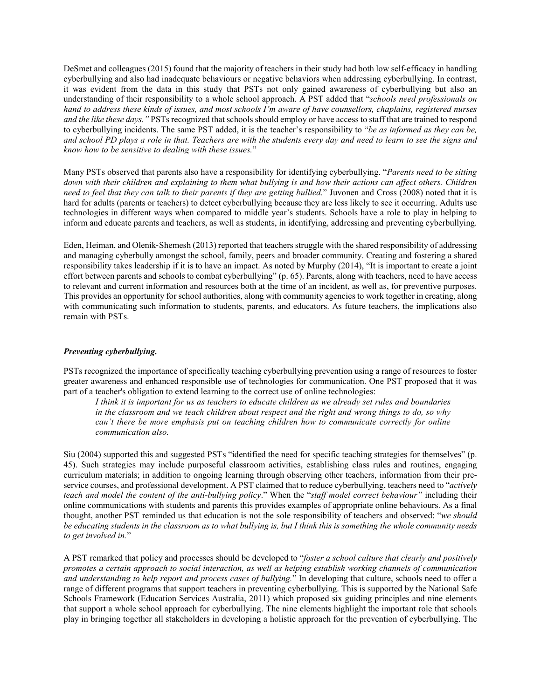DeSmet and colleagues (2015) found that the majority of teachers in their study had both low self-efficacy in handling cyberbullying and also had inadequate behaviours or negative behaviors when addressing cyberbullying. In contrast, it was evident from the data in this study that PSTs not only gained awareness of cyberbullying but also an understanding of their responsibility to a whole school approach. A PST added that "*schools need professionals on hand to address these kinds of issues, and most schools I'm aware of have counsellors, chaplains, registered nurses and the like these days."* PSTs recognized that schools should employ or have access to staff that are trained to respond to cyberbullying incidents. The same PST added, it is the teacher's responsibility to "*be as informed as they can be, and school PD plays a role in that. Teachers are with the students every day and need to learn to see the signs and know how to be sensitive to dealing with these issues.*"

Many PSTs observed that parents also have a responsibility for identifying cyberbullying. "*Parents need to be sitting*  down with their children and explaining to them what bullying is and how their actions can affect others. Children *need to feel that they can talk to their parents if they are getting bullied.*" Juvonen and Cross (2008) noted that it is hard for adults (parents or teachers) to detect cyberbullying because they are less likely to see it occurring. Adults use technologies in different ways when compared to middle year's students. Schools have a role to play in helping to inform and educate parents and teachers, as well as students, in identifying, addressing and preventing cyberbullying.

Eden, Heiman, and Olenik‐Shemesh (2013) reported that teachers struggle with the shared responsibility of addressing and managing cyberbully amongst the school, family, peers and broader community. Creating and fostering a shared responsibility takes leadership if it is to have an impact. As noted by Murphy (2014), "It is important to create a joint effort between parents and schools to combat cyberbullying" (p. 65). Parents, along with teachers, need to have access to relevant and current information and resources both at the time of an incident, as well as, for preventive purposes. This provides an opportunity for school authorities, along with community agencies to work together in creating, along with communicating such information to students, parents, and educators. As future teachers, the implications also remain with PSTs.

#### *Preventing cyberbullying.*

PSTs recognized the importance of specifically teaching cyberbullying prevention using a range of resources to foster greater awareness and enhanced responsible use of technologies for communication. One PST proposed that it was part of a teacher's obligation to extend learning to the correct use of online technologies:

*I think it is important for us as teachers to educate children as we already set rules and boundaries in the classroom and we teach children about respect and the right and wrong things to do, so why can't there be more emphasis put on teaching children how to communicate correctly for online communication also.*

Siu (2004) supported this and suggested PSTs "identified the need for specific teaching strategies for themselves" (p. 45). Such strategies may include purposeful classroom activities, establishing class rules and routines, engaging curriculum materials; in addition to ongoing learning through observing other teachers, information from their preservice courses, and professional development. A PST claimed that to reduce cyberbullying, teachers need to "*actively teach and model the content of the anti-bullying policy*." When the "*staff model correct behaviour"* including their online communications with students and parents this provides examples of appropriate online behaviours. As a final thought, another PST reminded us that education is not the sole responsibility of teachers and observed: "*we should be educating students in the classroom as to what bullying is, but I think this is something the whole community needs to get involved in.*"

A PST remarked that policy and processes should be developed to "*foster a school culture that clearly and positively promotes a certain approach to social interaction, as well as helping establish working channels of communication and understanding to help report and process cases of bullying.*" In developing that culture, schools need to offer a range of different programs that support teachers in preventing cyberbullying. This is supported by the National Safe Schools Framework (Education Services Australia, 2011) which proposed six guiding principles and nine elements that support a whole school approach for cyberbullying. The nine elements highlight the important role that schools play in bringing together all stakeholders in developing a holistic approach for the prevention of cyberbullying. The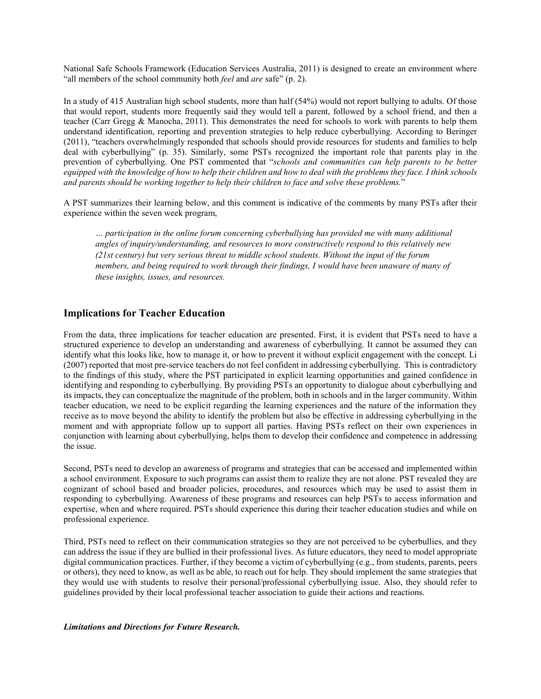National Safe Schools Framework (Education Services Australia, 2011) is designed to create an environment where "all members of the school community both *feel* and *are* safe" (p. 2).

In a study of 415 Australian high school students, more than half (54%) would not report bullying to adults. Of those that would report, students more frequently said they would tell a parent, followed by a school friend, and then a teacher (Carr Gregg & Manocha, 2011). This demonstrates the need for schools to work with parents to help them understand identification, reporting and prevention strategies to help reduce cyberbullying. According to Beringer (2011), "teachers overwhelmingly responded that schools should provide resources for students and families to help deal with cyberbullying" (p. 35). Similarly, some PSTs recognized the important role that parents play in the prevention of cyberbullying. One PST commented that "*schools and communities can help parents to be better equipped with the knowledge of how to help their children and how to deal with the problems they face. I think schools and parents should be working together to help their children to face and solve these problems.*"

A PST summarizes their learning below, and this comment is indicative of the comments by many PSTs after their experience within the seven week program,

*… participation in the online forum concerning cyberbullying has provided me with many additional angles of inquiry/understanding, and resources to more constructively respond to this relatively new (21st century) but very serious threat to middle school students. Without the input of the forum members, and being required to work through their findings, I would have been unaware of many of these insights, issues, and resources.*

## **Implications for Teacher Education**

From the data, three implications for teacher education are presented. First, it is evident that PSTs need to have a structured experience to develop an understanding and awareness of cyberbullying. It cannot be assumed they can identify what this looks like, how to manage it, or how to prevent it without explicit engagement with the concept. Li (2007) reported that most pre-service teachers do not feel confident in addressing cyberbullying. This is contradictory to the findings of this study, where the PST participated in explicit learning opportunities and gained confidence in identifying and responding to cyberbullying. By providing PSTs an opportunity to dialogue about cyberbullying and its impacts, they can conceptualize the magnitude of the problem, both in schools and in the larger community. Within teacher education, we need to be explicit regarding the learning experiences and the nature of the information they receive as to move beyond the ability to identify the problem but also be effective in addressing cyberbullying in the moment and with appropriate follow up to support all parties. Having PSTs reflect on their own experiences in conjunction with learning about cyberbullying, helps them to develop their confidence and competence in addressing the issue.

Second, PSTs need to develop an awareness of programs and strategies that can be accessed and implemented within a school environment. Exposure to such programs can assist them to realize they are not alone. PST revealed they are cognizant of school based and broader policies, procedures, and resources which may be used to assist them in responding to cyberbullying. Awareness of these programs and resources can help PSTs to access information and expertise, when and where required. PSTs should experience this during their teacher education studies and while on professional experience.

Third, PSTs need to reflect on their communication strategies so they are not perceived to be cyberbullies, and they can address the issue if they are bullied in their professional lives. As future educators, they need to model appropriate digital communication practices. Further, if they become a victim of cyberbullying (e.g., from students, parents, peers or others), they need to know, as well as be able, to reach out for help. They should implement the same strategies that they would use with students to resolve their personal/professional cyberbullying issue. Also, they should refer to guidelines provided by their local professional teacher association to guide their actions and reactions.

*Limitations and Directions for Future Research.*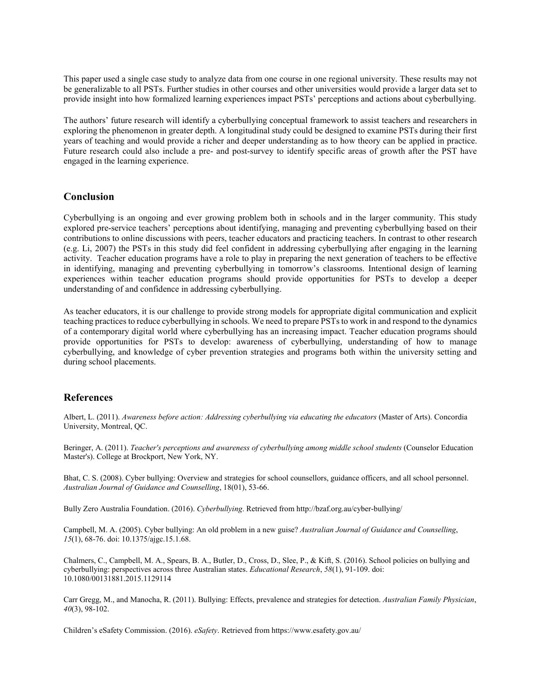This paper used a single case study to analyze data from one course in one regional university. These results may not be generalizable to all PSTs. Further studies in other courses and other universities would provide a larger data set to provide insight into how formalized learning experiences impact PSTs' perceptions and actions about cyberbullying.

The authors' future research will identify a cyberbullying conceptual framework to assist teachers and researchers in exploring the phenomenon in greater depth. A longitudinal study could be designed to examine PSTs during their first years of teaching and would provide a richer and deeper understanding as to how theory can be applied in practice. Future research could also include a pre- and post-survey to identify specific areas of growth after the PST have engaged in the learning experience.

## **Conclusion**

Cyberbullying is an ongoing and ever growing problem both in schools and in the larger community. This study explored pre-service teachers' perceptions about identifying, managing and preventing cyberbullying based on their contributions to online discussions with peers, teacher educators and practicing teachers. In contrast to other research (e.g. Li, 2007) the PSTs in this study did feel confident in addressing cyberbullying after engaging in the learning activity. Teacher education programs have a role to play in preparing the next generation of teachers to be effective in identifying, managing and preventing cyberbullying in tomorrow's classrooms. Intentional design of learning experiences within teacher education programs should provide opportunities for PSTs to develop a deeper understanding of and confidence in addressing cyberbullying.

As teacher educators, it is our challenge to provide strong models for appropriate digital communication and explicit teaching practices to reduce cyberbullying in schools. We need to prepare PSTs to work in and respond to the dynamics of a contemporary digital world where cyberbullying has an increasing impact. Teacher education programs should provide opportunities for PSTs to develop: awareness of cyberbullying, understanding of how to manage cyberbullying, and knowledge of cyber prevention strategies and programs both within the university setting and during school placements.

## **References**

Albert, L. (2011). *Awareness before action: Addressing cyberbullying via educating the educators* (Master of Arts). Concordia University, Montreal, QC.

Beringer, A. (2011). *Teacher's perceptions and awareness of cyberbullying among middle school students* (Counselor Education Master's). College at Brockport, New York, NY.

Bhat, C. S. (2008). Cyber bullying: Overview and strategies for school counsellors, guidance officers, and all school personnel. *Australian Journal of Guidance and Counselling*, 18(01), 53-66.

Bully Zero Australia Foundation. (2016). *Cyberbullying*. Retrieved from http://bzaf.org.au/cyber-bullying/

Campbell, M. A. (2005). Cyber bullying: An old problem in a new guise? *Australian Journal of Guidance and Counselling*, *15*(1), 68-76. doi: 10.1375/ajgc.15.1.68.

Chalmers, C., Campbell, M. A., Spears, B. A., Butler, D., Cross, D., Slee, P., & Kift, S. (2016). School policies on bullying and cyberbullying: perspectives across three Australian states. *Educational Research*, *58*(1), 91-109. doi: 10.1080/00131881.2015.1129114

Carr Gregg, M., and Manocha, R. (2011). Bullying: Effects, prevalence and strategies for detection. *Australian Family Physician*, *40*(3), 98-102.

Children's eSafety Commission. (2016). *eSafety*. Retrieved from https://www.esafety.gov.au/